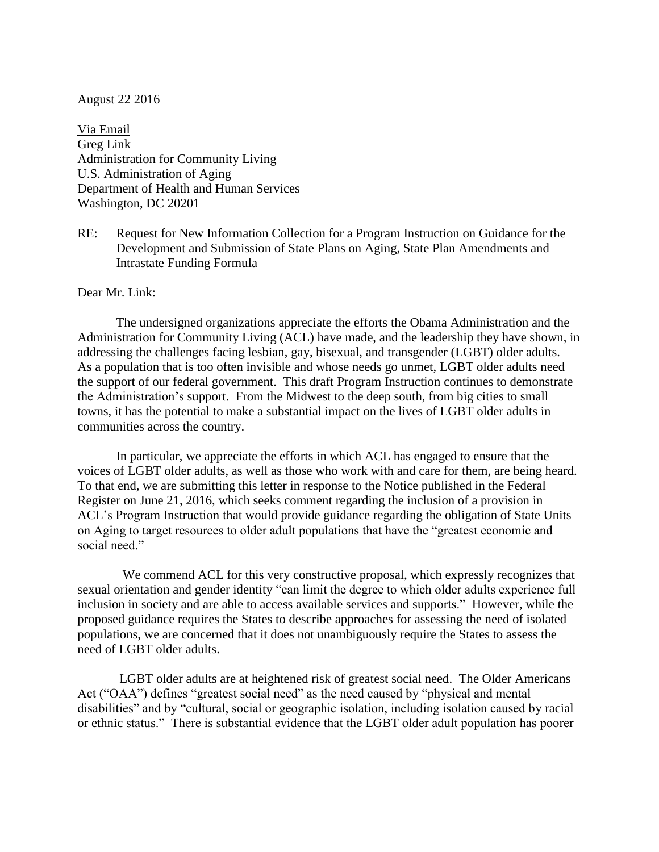## August 22 2016

Via Email Greg Link Administration for Community Living U.S. Administration of Aging Department of Health and Human Services Washington, DC 20201

RE: Request for New Information Collection for a Program Instruction on Guidance for the Development and Submission of State Plans on Aging, State Plan Amendments and Intrastate Funding Formula

## Dear Mr. Link:

The undersigned organizations appreciate the efforts the Obama Administration and the Administration for Community Living (ACL) have made, and the leadership they have shown, in addressing the challenges facing lesbian, gay, bisexual, and transgender (LGBT) older adults. As a population that is too often invisible and whose needs go unmet, LGBT older adults need the support of our federal government. This draft Program Instruction continues to demonstrate the Administration's support. From the Midwest to the deep south, from big cities to small towns, it has the potential to make a substantial impact on the lives of LGBT older adults in communities across the country.

In particular, we appreciate the efforts in which ACL has engaged to ensure that the voices of LGBT older adults, as well as those who work with and care for them, are being heard. To that end, we are submitting this letter in response to the Notice published in the Federal Register on June 21, 2016, which seeks comment regarding the inclusion of a provision in ACL's Program Instruction that would provide guidance regarding the obligation of State Units on Aging to target resources to older adult populations that have the "greatest economic and social need."

 We commend ACL for this very constructive proposal, which expressly recognizes that sexual orientation and gender identity "can limit the degree to which older adults experience full inclusion in society and are able to access available services and supports." However, while the proposed guidance requires the States to describe approaches for assessing the need of isolated populations, we are concerned that it does not unambiguously require the States to assess the need of LGBT older adults.

LGBT older adults are at heightened risk of greatest social need. The Older Americans Act ("OAA") defines "greatest social need" as the need caused by "physical and mental disabilities" and by "cultural, social or geographic isolation, including isolation caused by racial or ethnic status." There is substantial evidence that the LGBT older adult population has poorer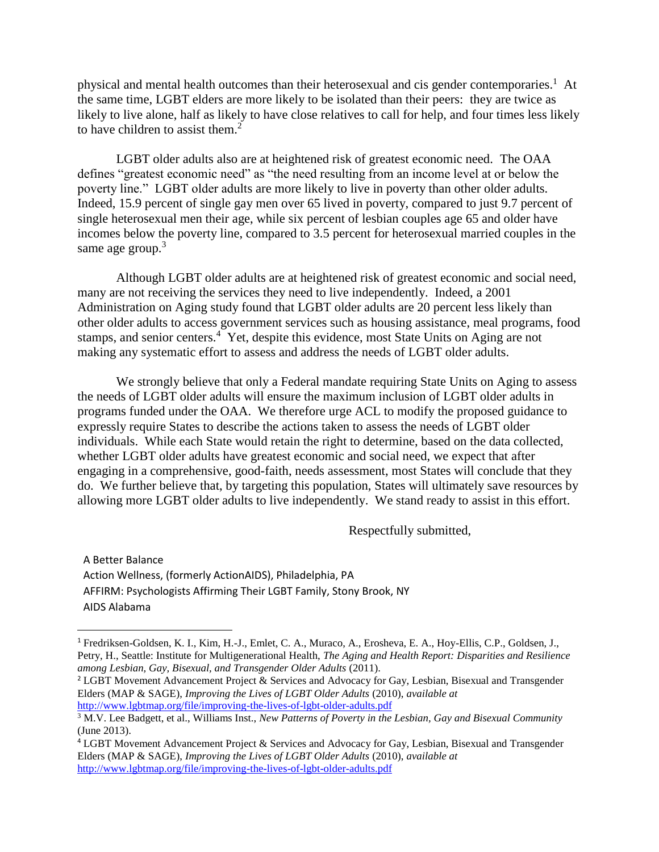physical and mental health outcomes than their heterosexual and cis gender contemporaries.<sup>1</sup> At the same time, LGBT elders are more likely to be isolated than their peers: they are twice as likely to live alone, half as likely to have close relatives to call for help, and four times less likely to have children to assist them. $2<sup>2</sup>$ 

LGBT older adults also are at heightened risk of greatest economic need. The OAA defines "greatest economic need" as "the need resulting from an income level at or below the poverty line." LGBT older adults are more likely to live in poverty than other older adults. Indeed, 15.9 percent of single gay men over 65 lived in poverty, compared to just 9.7 percent of single heterosexual men their age, while six percent of lesbian couples age 65 and older have incomes below the poverty line, compared to 3.5 percent for heterosexual married couples in the same age group. $3$ 

Although LGBT older adults are at heightened risk of greatest economic and social need, many are not receiving the services they need to live independently. Indeed, a 2001 Administration on Aging study found that LGBT older adults are 20 percent less likely than other older adults to access government services such as housing assistance, meal programs, food stamps, and senior centers.<sup>4</sup> Yet, despite this evidence, most State Units on Aging are not making any systematic effort to assess and address the needs of LGBT older adults.

We strongly believe that only a Federal mandate requiring State Units on Aging to assess the needs of LGBT older adults will ensure the maximum inclusion of LGBT older adults in programs funded under the OAA. We therefore urge ACL to modify the proposed guidance to expressly require States to describe the actions taken to assess the needs of LGBT older individuals. While each State would retain the right to determine, based on the data collected, whether LGBT older adults have greatest economic and social need, we expect that after engaging in a comprehensive, good-faith, needs assessment, most States will conclude that they do. We further believe that, by targeting this population, States will ultimately save resources by allowing more LGBT older adults to live independently. We stand ready to assist in this effort.

Respectfully submitted,

A Better Balance Action Wellness, (formerly ActionAIDS), Philadelphia, PA AFFIRM: Psychologists Affirming Their LGBT Family, Stony Brook, NY AIDS Alabama

 $\overline{a}$ 

<sup>1</sup> Fredriksen-Goldsen, K. I., Kim, H.-J., Emlet, C. A., Muraco, A., Erosheva, E. A., Hoy-Ellis, C.P., Goldsen, J., Petry, H., Seattle: Institute for Multigenerational Health, *The Aging and Health Report: Disparities and Resilience among Lesbian, Gay, Bisexual, and Transgender Older Adults* (2011).

<sup>&</sup>lt;sup>2</sup> LGBT Movement Advancement Project & Services and Advocacy for Gay, Lesbian, Bisexual and Transgender Elders (MAP & SAGE), *Improving the Lives of LGBT Older Adults* (2010), *available at* <http://www.lgbtmap.org/file/improving-the-lives-of-lgbt-older-adults.pdf>

<sup>3</sup> M.V. Lee Badgett, et al., Williams Inst., *New Patterns of Poverty in the Lesbian, Gay and Bisexual Community* (June 2013).

<sup>4</sup> LGBT Movement Advancement Project & Services and Advocacy for Gay, Lesbian, Bisexual and Transgender Elders (MAP & SAGE), *Improving the Lives of LGBT Older Adults* (2010), *available at* <http://www.lgbtmap.org/file/improving-the-lives-of-lgbt-older-adults.pdf>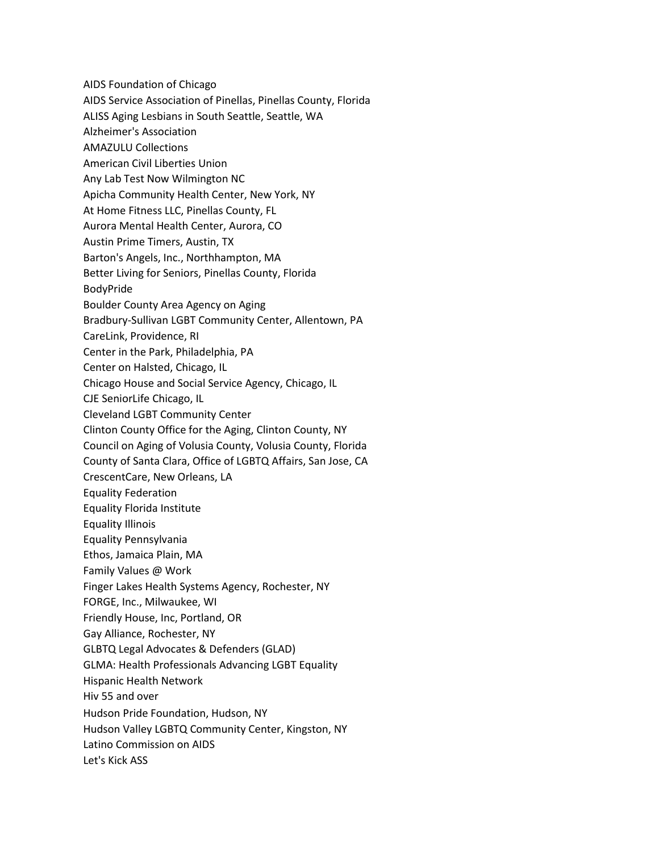AIDS Foundation of Chicago AIDS Service Association of Pinellas, Pinellas County, Florida ALISS Aging Lesbians in South Seattle, Seattle, WA Alzheimer's Association AMAZULU Collections American Civil Liberties Union Any Lab Test Now Wilmington NC Apicha Community Health Center, New York, NY At Home Fitness LLC, Pinellas County, FL Aurora Mental Health Center, Aurora, CO Austin Prime Timers, Austin, TX Barton's Angels, Inc., Northhampton, MA Better Living for Seniors, Pinellas County, Florida BodyPride Boulder County Area Agency on Aging Bradbury-Sullivan LGBT Community Center, Allentown, PA CareLink, Providence, RI Center in the Park, Philadelphia, PA Center on Halsted, Chicago, IL Chicago House and Social Service Agency, Chicago, IL CJE SeniorLife Chicago, IL Cleveland LGBT Community Center Clinton County Office for the Aging, Clinton County, NY Council on Aging of Volusia County, Volusia County, Florida County of Santa Clara, Office of LGBTQ Affairs, San Jose, CA CrescentCare, New Orleans, LA Equality Federation Equality Florida Institute Equality Illinois Equality Pennsylvania Ethos, Jamaica Plain, MA Family Values @ Work Finger Lakes Health Systems Agency, Rochester, NY FORGE, Inc., Milwaukee, WI Friendly House, Inc, Portland, OR Gay Alliance, Rochester, NY GLBTQ Legal Advocates & Defenders (GLAD) GLMA: Health Professionals Advancing LGBT Equality Hispanic Health Network Hiv 55 and over Hudson Pride Foundation, Hudson, NY Hudson Valley LGBTQ Community Center, Kingston, NY Latino Commission on AIDS Let's Kick ASS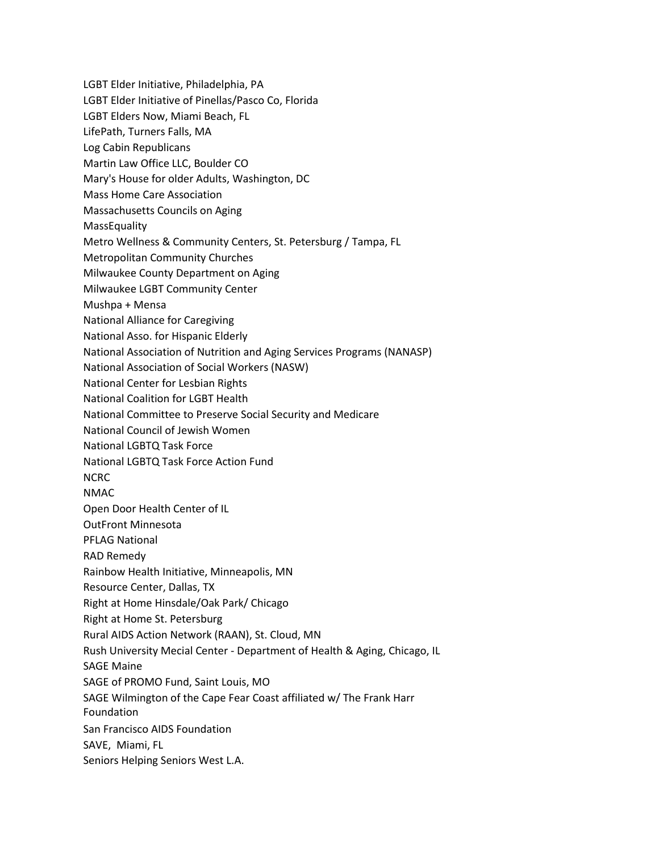- LGBT Elder Initiative, Philadelphia, PA
- LGBT Elder Initiative of Pinellas/Pasco Co, Florida
- LGBT Elders Now, Miami Beach, FL
- LifePath, Turners Falls, MA
- Log Cabin Republicans
- Martin Law Office LLC, Boulder CO
- Mary's House for older Adults, Washington, DC
- Mass Home Care Association
- Massachusetts Councils on Aging
- **MassEquality**
- Metro Wellness & Community Centers, St. Petersburg / Tampa, FL
- Metropolitan Community Churches
- Milwaukee County Department on Aging
- Milwaukee LGBT Community Center
- Mushpa + Mensa
- National Alliance for Caregiving
- National Asso. for Hispanic Elderly
- National Association of Nutrition and Aging Services Programs (NANASP)
- National Association of Social Workers (NASW)
- National Center for Lesbian Rights
- National Coalition for LGBT Health
- National Committee to Preserve Social Security and Medicare
- National Council of Jewish Women
- National LGBTQ Task Force
- National LGBTQ Task Force Action Fund
- NCRC
- NMAC
- Open Door Health Center of IL
- OutFront Minnesota
- PFLAG National
- RAD Remedy
- Rainbow Health Initiative, Minneapolis, MN
- Resource Center, Dallas, TX
- Right at Home Hinsdale/Oak Park/ Chicago
- Right at Home St. Petersburg
- Rural AIDS Action Network (RAAN), St. Cloud, MN
- Rush University Mecial Center Department of Health & Aging, Chicago, IL
- SAGE Maine
- SAGE of PROMO Fund, Saint Louis, MO
- SAGE Wilmington of the Cape Fear Coast affiliated w/ The Frank Harr
- Foundation
- San Francisco AIDS Foundation
- SAVE, Miami, FL
- Seniors Helping Seniors West L.A.